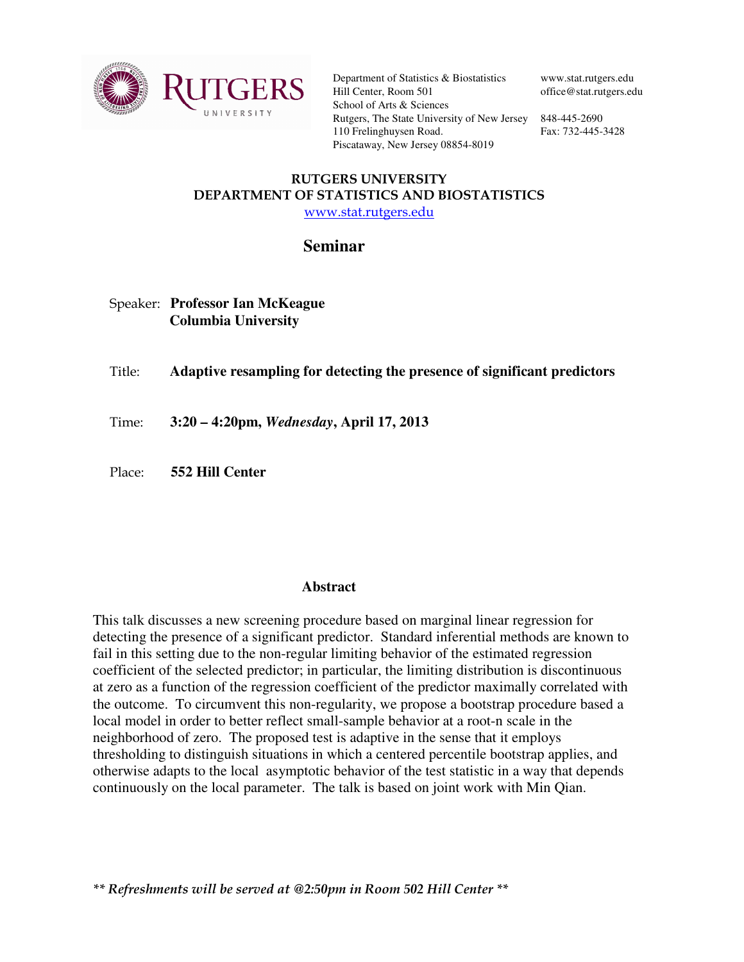

Department of Statistics & Biostatistics Hill Center, Room 501 School of Arts & Sciences Rutgers, The State University of New Jersey 848-445-2690 110 Frelinghuysen Road. Piscataway, New Jersey 08854-8019

www.stat.rutgers.edu office@stat.rutgers.edu

Fax: 732-445-3428

## RUTGERS UNIVERSITY DEPARTMENT OF STATISTICS AND BIOSTATISTICS www.stat.rutgers.edu

## **Seminar**

## Speaker: **Professor Ian McKeague Columbia University**

Title: **Adaptive resampling for detecting the presence of significant predictors** 

Time: **3:20 – 4:20pm,** *Wednesday***, April 17, 2013** 

Place: **552 Hill Center** 

## **Abstract**

This talk discusses a new screening procedure based on marginal linear regression for detecting the presence of a significant predictor. Standard inferential methods are known to fail in this setting due to the non-regular limiting behavior of the estimated regression coefficient of the selected predictor; in particular, the limiting distribution is discontinuous at zero as a function of the regression coefficient of the predictor maximally correlated with the outcome. To circumvent this non-regularity, we propose a bootstrap procedure based a local model in order to better reflect small-sample behavior at a root-n scale in the neighborhood of zero. The proposed test is adaptive in the sense that it employs thresholding to distinguish situations in which a centered percentile bootstrap applies, and otherwise adapts to the local asymptotic behavior of the test statistic in a way that depends continuously on the local parameter. The talk is based on joint work with Min Qian.

\*\* Refreshments will be served at @2:50pm in Room 502 Hill Center \*\*